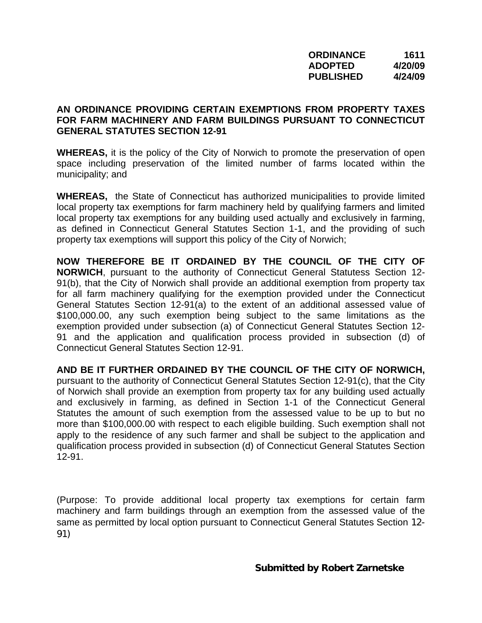## **ORDINANCE 1611 ADOPTED 4/20/09 PUBLISHED 4/24/09**

## **AN ORDINANCE PROVIDING CERTAIN EXEMPTIONS FROM PROPERTY TAXES FOR FARM MACHINERY AND FARM BUILDINGS PURSUANT TO CONNECTICUT GENERAL STATUTES SECTION 12-91**

**WHEREAS,** it is the policy of the City of Norwich to promote the preservation of open space including preservation of the limited number of farms located within the municipality; and

**WHEREAS,** the State of Connecticut has authorized municipalities to provide limited local property tax exemptions for farm machinery held by qualifying farmers and limited local property tax exemptions for any building used actually and exclusively in farming, as defined in Connecticut General Statutes Section 1-1, and the providing of such property tax exemptions will support this policy of the City of Norwich;

**NOW THEREFORE BE IT ORDAINED BY THE COUNCIL OF THE CITY OF NORWICH**, pursuant to the authority of Connecticut General Statutess Section 12- 91(b), that the City of Norwich shall provide an additional exemption from property tax for all farm machinery qualifying for the exemption provided under the Connecticut General Statutes Section 12-91(a) to the extent of an additional assessed value of \$100,000.00, any such exemption being subject to the same limitations as the exemption provided under subsection (a) of Connecticut General Statutes Section 12- 91 and the application and qualification process provided in subsection (d) of Connecticut General Statutes Section 12-91.

**AND BE IT FURTHER ORDAINED BY THE COUNCIL OF THE CITY OF NORWICH,**  pursuant to the authority of Connecticut General Statutes Section 12-91(c), that the City of Norwich shall provide an exemption from property tax for any building used actually and exclusively in farming, as defined in Section 1-1 of the Connecticut General Statutes the amount of such exemption from the assessed value to be up to but no more than \$100,000.00 with respect to each eligible building. Such exemption shall not apply to the residence of any such farmer and shall be subject to the application and qualification process provided in subsection (d) of Connecticut General Statutes Section 12-91.

(Purpose: To provide additional local property tax exemptions for certain farm machinery and farm buildings through an exemption from the assessed value of the same as permitted by local option pursuant to Connecticut General Statutes Section 12- 91)

**Submitted by Robert Zarnetske**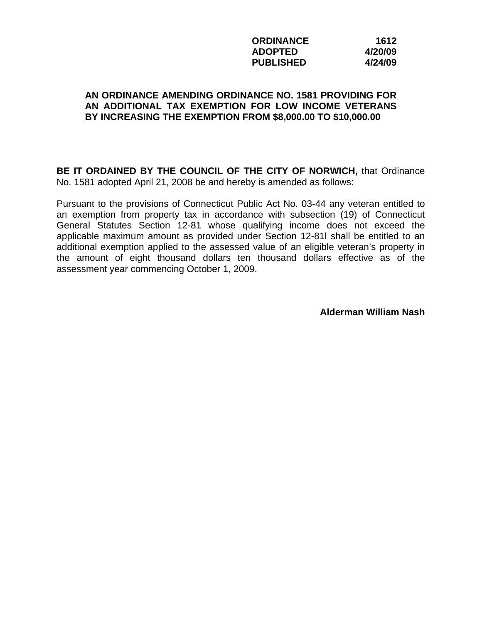| <b>ORDINANCE</b> | 1612    |
|------------------|---------|
| <b>ADOPTED</b>   | 4/20/09 |
| <b>PUBLISHED</b> | 4/24/09 |

### **AN ORDINANCE AMENDING ORDINANCE NO. 1581 PROVIDING FOR AN ADDITIONAL TAX EXEMPTION FOR LOW INCOME VETERANS BY INCREASING THE EXEMPTION FROM \$8,000.00 TO \$10,000.00**

**BE IT ORDAINED BY THE COUNCIL OF THE CITY OF NORWICH,** that Ordinance No. 1581 adopted April 21, 2008 be and hereby is amended as follows:

Pursuant to the provisions of Connecticut Public Act No. 03-44 any veteran entitled to an exemption from property tax in accordance with subsection (19) of Connecticut General Statutes Section 12-81 whose qualifying income does not exceed the applicable maximum amount as provided under Section 12-81l shall be entitled to an additional exemption applied to the assessed value of an eligible veteran's property in the amount of eight thousand dollars ten thousand dollars effective as of the assessment year commencing October 1, 2009.

**Alderman William Nash**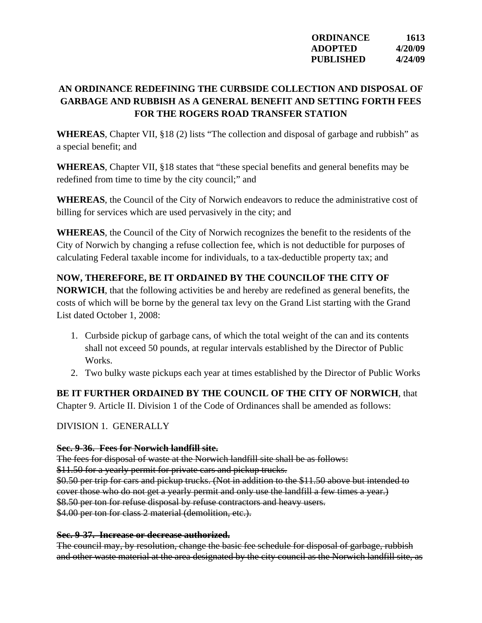| ORDINANCE | 1613    |
|-----------|---------|
| ADOPTED   | 4/20/09 |
| PUBLISHED | 4/24/09 |

# **AN ORDINANCE REDEFINING THE CURBSIDE COLLECTION AND DISPOSAL OF GARBAGE AND RUBBISH AS A GENERAL BENEFIT AND SETTING FORTH FEES FOR THE ROGERS ROAD TRANSFER STATION**

**WHEREAS**, Chapter VII, §18 (2) lists "The collection and disposal of garbage and rubbish" as a special benefit; and

**WHEREAS**, Chapter VII, §18 states that "these special benefits and general benefits may be redefined from time to time by the city council;" and

**WHEREAS**, the Council of the City of Norwich endeavors to reduce the administrative cost of billing for services which are used pervasively in the city; and

**WHEREAS**, the Council of the City of Norwich recognizes the benefit to the residents of the City of Norwich by changing a refuse collection fee, which is not deductible for purposes of calculating Federal taxable income for individuals, to a tax-deductible property tax; and

# **NOW, THEREFORE, BE IT ORDAINED BY THE COUNCILOF THE CITY OF**

**NORWICH**, that the following activities be and hereby are redefined as general benefits, the costs of which will be borne by the general tax levy on the Grand List starting with the Grand List dated October 1, 2008:

- 1. Curbside pickup of garbage cans, of which the total weight of the can and its contents shall not exceed 50 pounds, at regular intervals established by the Director of Public Works.
- 2. Two bulky waste pickups each year at times established by the Director of Public Works

**BE IT FURTHER ORDAINED BY THE COUNCIL OF THE CITY OF NORWICH**, that Chapter 9. Article II. Division 1 of the Code of Ordinances shall be amended as follows:

DIVISION 1. GENERALLY

### **Sec. 9-36. Fees for Norwich landfill site.**

The fees for disposal of waste at the Norwich landfill site shall be as follows: \$11.50 for a yearly permit for private cars and pickup trucks. \$0.50 per trip for cars and pickup trucks. (Not in addition to the \$11.50 above but intended to cover those who do not get a yearly permit and only use the landfill a few times a year.) \$8.50 per ton for refuse disposal by refuse contractors and heavy users. \$4.00 per ton for class 2 material (demolition, etc.).

### **Sec. 9-37. Increase or decrease authorized.**

The council may, by resolution, change the basic fee schedule for disposal of garbage, rubbish and other waste material at the area designated by the city council as the Norwich landfill site, as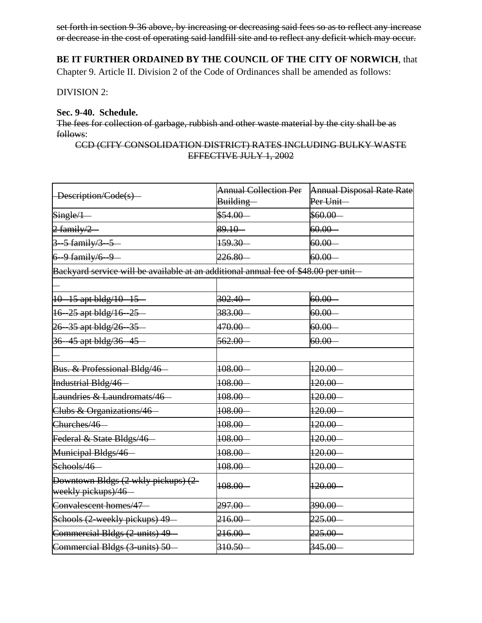set forth in section 9-36 above, by increasing or decreasing said fees so as to reflect any increase or decrease in the cost of operating said landfill site and to reflect any deficit which may occur.

### **BE IT FURTHER ORDAINED BY THE COUNCIL OF THE CITY OF NORWICH**, that

Chapter 9. Article II. Division 2 of the Code of Ordinances shall be amended as follows:

#### DIVISION 2:

### **Sec. 9-40. Schedule.**

The fees for collection of garbage, rubbish and other waste material by the city shall be as follows:

## CCD (CITY CONSOLIDATION DISTRICT) RATES INCLUDING BULKY WASTE EFFECTIVE JULY 1, 2002

| Description/Code(s)                                                                | <b>Annual Collection Per</b><br>Building | <b>Annual Disposal Rate Rate</b><br>Per Unit- |  |
|------------------------------------------------------------------------------------|------------------------------------------|-----------------------------------------------|--|
| Single/1                                                                           | $$54.00-$                                | \$60.00                                       |  |
| 2 family/2                                                                         | $89.10 -$                                | $60.00 -$                                     |  |
| 3-5 family/3-5                                                                     | $159.30 -$                               | $60.00 -$                                     |  |
| 6 9 family/6 9                                                                     | $226.80 -$                               | 60.00                                         |  |
| Backyard service will be available at an additional annual fee of \$48.00 per unit |                                          |                                               |  |
|                                                                                    |                                          |                                               |  |
| 10-15 apt bldg/10-15-                                                              | $302.40 -$                               | $60.00 -$                                     |  |
| 16 - 25 apt bldg/16 - 25 -                                                         | 383.00                                   | $60.00 -$                                     |  |
| 26-35 apt bldg/26-35                                                               | 470.00                                   | $60.00 -$                                     |  |
| 36 45 apt bldg/36 45                                                               | 562.00                                   | $60.00 -$                                     |  |
|                                                                                    |                                          |                                               |  |
| Bus. & Professional Bldg/46-                                                       | $108.00 -$                               | $120.00 -$                                    |  |
| Industrial Bldg/46                                                                 | 108.00                                   | $120.00 -$                                    |  |
| Laundries & Laundromats/46-                                                        | 108.00                                   | 120.00                                        |  |
| Clubs & Organizations/46                                                           | 108.00                                   | 120.00                                        |  |
| Churches/46                                                                        | 108.00                                   | 120.00                                        |  |
| Federal & State Bldgs/46                                                           | 108.00                                   | 120.00                                        |  |
| Municipal Bldgs/46-                                                                | 108.00                                   | $120.00 -$                                    |  |
| Schools/46-                                                                        | 108.00                                   | $120.00 -$                                    |  |
| Downtown Bldgs (2 wkly pickups) (2-<br>weekly pickups)/46-                         | 108.00                                   | $120.00 -$                                    |  |
| Convalescent homes/47                                                              | $297.00 -$                               | $390.00 -$                                    |  |
| Schools (2-weekly pickups) 49-                                                     | $216.00 -$                               | 225.00                                        |  |
| Commercial Bldgs (2-units) 49-                                                     | $216.00 -$                               | $225.00 -$                                    |  |
| Commercial Bldgs (3-units) 50-                                                     | $310.50 -$                               | 345.00                                        |  |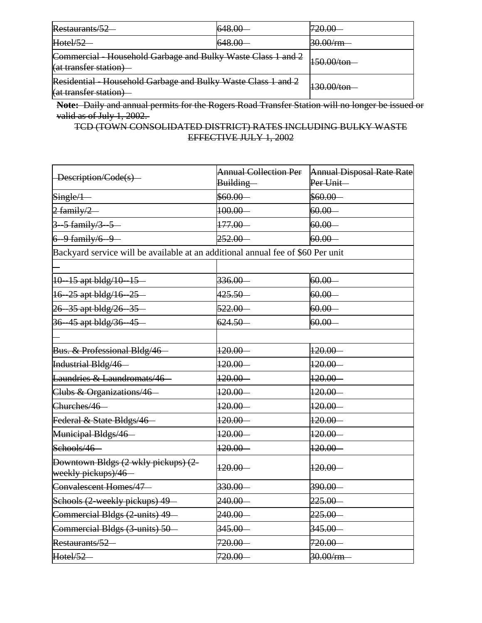| Restaurants/52                                                                         | 648.00 | 720.00<br>120.00 |
|----------------------------------------------------------------------------------------|--------|------------------|
| Hotel/52                                                                               | 648.00 | 30.00/m          |
| Commercial - Household Garbage and Bulky Waste Class 1 and 2<br>(at transfer station)  |        | 150.00/ton       |
| Residential - Household Garbage and Bulky Waste Class 1 and 2<br>(at transfer station) |        | 130.00/ton       |

**Note:** Daily and annual permits for the Rogers Road Transfer Station will no longer be issued or valid as of July 1, 2002.

TCD (TOWN CONSOLIDATED DISTRICT) RATES INCLUDING BULKY WASTE EFFECTIVE JULY 1, 2002

| Description/Code(s)                                                             | <b>Annual Collection Per</b><br>Building- | <b>Annual Disposal Rate Rate</b><br>Per Unit |  |
|---------------------------------------------------------------------------------|-------------------------------------------|----------------------------------------------|--|
| Single/1                                                                        | $$60.00-$                                 | \$60.00                                      |  |
| $2$ family/2                                                                    | $100.00 -$                                | $60.00 -$                                    |  |
| 3 - 5 family / 3 - 5 -                                                          | $177.00 -$                                | $60.00 -$                                    |  |
| $6 - 9$ family/ $6 - 9$                                                         | $252.00 -$                                | $60.00 -$                                    |  |
| Backyard service will be available at an additional annual fee of \$60 Per unit |                                           |                                              |  |
|                                                                                 |                                           |                                              |  |
| $10 - 15$ apt bldg/10-15                                                        | $336.00 -$                                | 60.00                                        |  |
| 16-25 apt bldg/16-25                                                            | $425.50 -$                                | $60.00 -$                                    |  |
| 26 35 apt bldg/26 35                                                            | $522.00 -$                                | $60.00 -$                                    |  |
| 36-45 apt bldg/36-45                                                            | $624.50 -$                                | $60.00 -$                                    |  |
|                                                                                 |                                           |                                              |  |
| Bus. & Professional Bldg/46-                                                    | $120.00 -$                                | 120.00                                       |  |
| Industrial Bldg/46-                                                             | $120.00 -$                                | 120.00                                       |  |
| Laundries & Laundromats/46                                                      | $120.00 -$                                | 120.00                                       |  |
| Clubs & Organizations/46 -                                                      | $120.00 -$                                | 120.00                                       |  |
| Churches/46-                                                                    | $120.00 -$                                | $120.00 -$                                   |  |
| Federal & State Bldgs/46-                                                       | $120.00 -$                                | $120.00 -$                                   |  |
| Municipal Bldgs/46-                                                             | $120.00 -$                                | $120.00 -$                                   |  |
| Schools/46-                                                                     | $+20.00-$                                 | $120.00 -$                                   |  |
| Downtown Bldgs (2 wkly pickups) (2-<br>weekly pickups)/46                       | $120.00 -$                                | $120.00 -$                                   |  |
| Convalescent Homes/47 -                                                         | 330.00                                    | 390.00                                       |  |
| Schools (2-weekly pickups) 49                                                   | 240.00                                    | $225.00 -$                                   |  |
| Commercial Bldgs (2-units) 49                                                   | $240.00 -$                                | $225.00 -$                                   |  |
| Commercial Bldgs (3-units) 50-                                                  | 345.00                                    | $345.00 -$                                   |  |
| Restaurants/52                                                                  | 720.00                                    | $720.00 -$                                   |  |
| Hotel/52-                                                                       | $720.00 -$                                | $30.00/\text{rm}$                            |  |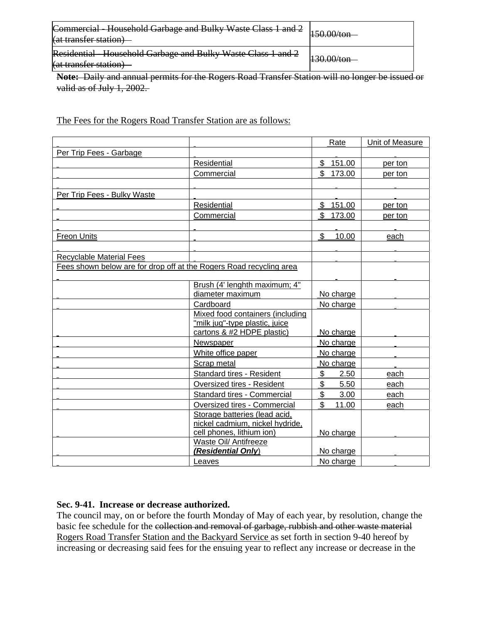| Commercial - Household Garbage and Bulky Waste Class 1 and 2<br>(at transfer station) | 150.00/ton                |
|---------------------------------------------------------------------------------------|---------------------------|
| Residential - Household Garbage and Bulky Waste Class 1 and 2                         | $120 \Omega_{\text{tan}}$ |
| (at transfer station)                                                                 | <del>130.00/t011 -</del>  |

**Note:** Daily and annual permits for the Rogers Road Transfer Station will no longer be issued or valid as of July 1, 2002.

The Fees for the Rogers Road Transfer Station are as follows:

|                                                                     |                                  | Rate                  | Unit of Measure |
|---------------------------------------------------------------------|----------------------------------|-----------------------|-----------------|
| Per Trip Fees - Garbage                                             |                                  |                       |                 |
|                                                                     | Residential                      | 151.00<br>\$          | per ton         |
|                                                                     | Commercial                       | \$<br>173.00          | per ton         |
|                                                                     |                                  |                       |                 |
| Per Trip Fees - Bulky Waste                                         |                                  |                       |                 |
|                                                                     | Residential                      | \$<br>151.00          | per ton         |
|                                                                     | Commercial                       | \$<br>173.00          | per ton         |
|                                                                     |                                  |                       |                 |
| <b>Freon Units</b>                                                  |                                  | \$<br>10.00           | each            |
|                                                                     |                                  |                       |                 |
| <b>Recyclable Material Fees</b>                                     |                                  |                       |                 |
| Fees shown below are for drop off at the Rogers Road recycling area |                                  |                       |                 |
|                                                                     |                                  |                       |                 |
|                                                                     | Brush (4' lenghth maximum; 4"    |                       |                 |
|                                                                     | diameter maximum                 | No charge             |                 |
|                                                                     | Cardboard                        | No charge             |                 |
|                                                                     | Mixed food containers (including |                       |                 |
|                                                                     | "milk jug"-type plastic, juice   |                       |                 |
|                                                                     | cartons & #2 HDPE plastic)       | No charge             |                 |
|                                                                     | Newspaper                        | No charge             |                 |
|                                                                     | White office paper               | No charge             |                 |
|                                                                     | Scrap metal                      | No charge             |                 |
|                                                                     | Standard tires - Resident        | $\frac{1}{2}$<br>2.50 | each            |
|                                                                     | Oversized tires - Resident       | \$<br>5.50            | each            |
|                                                                     | Standard tires - Commercial      | \$<br>3.00            | each            |
|                                                                     | Oversized tires - Commercial     | \$<br>11.00           | each            |
|                                                                     | Storage batteries (lead acid,    |                       |                 |
|                                                                     | nickel cadmium, nickel hydride,  |                       |                 |
|                                                                     | cell phones, lithium ion)        | No charge             |                 |
|                                                                     | Waste Oil/ Antifreeze            |                       |                 |
|                                                                     | (Residential Only)               | No charge             |                 |
|                                                                     | Leaves                           | No charge             |                 |

### **Sec. 9-41. Increase or decrease authorized.**

The council may, on or before the fourth Monday of May of each year, by resolution, change the basic fee schedule for the collection and removal of garbage, rubbish and other waste material Rogers Road Transfer Station and the Backyard Service as set forth in section 9-40 hereof by increasing or decreasing said fees for the ensuing year to reflect any increase or decrease in the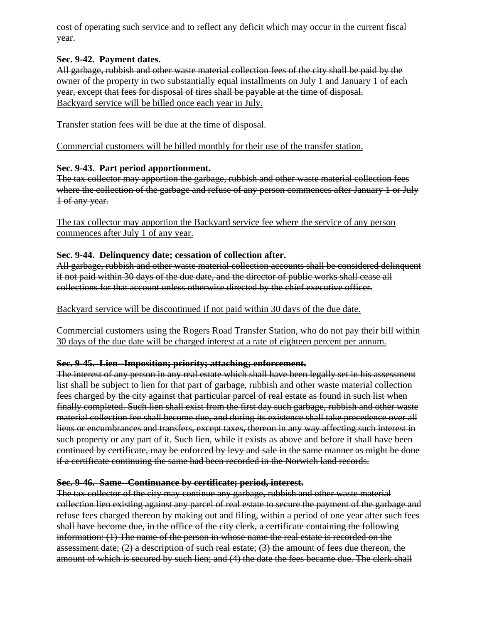cost of operating such service and to reflect any deficit which may occur in the current fiscal year.

### **Sec. 9-42. Payment dates.**

All garbage, rubbish and other waste material collection fees of the city shall be paid by the owner of the property in two substantially equal installments on July 1 and January 1 of each year, except that fees for disposal of tires shall be payable at the time of disposal. Backyard service will be billed once each year in July.

Transfer station fees will be due at the time of disposal.

Commercial customers will be billed monthly for their use of the transfer station.

### **Sec. 9-43. Part period apportionment.**

The tax collector may apportion the garbage, rubbish and other waste material collection fees where the collection of the garbage and refuse of any person commences after January 1 or July 1 of any year.

The tax collector may apportion the Backyard service fee where the service of any person commences after July 1 of any year.

### **Sec. 9-44. Delinquency date; cessation of collection after.**

All garbage, rubbish and other waste material collection accounts shall be considered delinquent if not paid within 30 days of the due date, and the director of public works shall cease all collections for that account unless otherwise directed by the chief executive officer.

Backyard service will be discontinued if not paid within 30 days of the due date.

Commercial customers using the Rogers Road Transfer Station, who do not pay their bill within 30 days of the due date will be charged interest at a rate of eighteen percent per annum.

### **Sec. 9-45. Lien--Imposition; priority; attaching; enforcement.**

The interest of any person in any real estate which shall have been legally set in his assessment list shall be subject to lien for that part of garbage, rubbish and other waste material collection fees charged by the city against that particular parcel of real estate as found in such list when finally completed. Such lien shall exist from the first day such garbage, rubbish and other waste material collection fee shall become due, and during its existence shall take precedence over all liens or encumbrances and transfers, except taxes, thereon in any way affecting such interest in such property or any part of it. Such lien, while it exists as above and before it shall have been continued by certificate, may be enforced by levy and sale in the same manner as might be done if a certificate continuing the same had been recorded in the Norwich land records.

### **Sec. 9-46. Same--Continuance by certificate; period, interest.**

The tax collector of the city may continue any garbage, rubbish and other waste material collection lien existing against any parcel of real estate to secure the payment of the garbage and refuse fees charged thereon by making out and filing, within a period of one year after such fees shall have become due, in the office of the city clerk, a certificate containing the following information: (1) The name of the person in whose name the real estate is recorded on the assessment date; (2) a description of such real estate; (3) the amount of fees due thereon, the amount of which is secured by such lien; and (4) the date the fees became due. The clerk shall